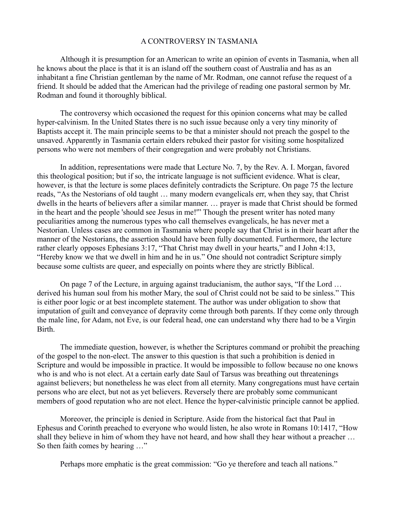## A CONTROVERSY IN TASMANIA

Although it is presumption for an American to write an opinion of events in Tasmania, when all he knows about the place is that it is an island off the southern coast of Australia and has as an inhabitant a fine Christian gentleman by the name of Mr. Rodman, one cannot refuse the request of a friend. It should be added that the American had the privilege of reading one pastoral sermon by Mr. Rodman and found it thoroughly biblical.

The controversy which occasioned the request for this opinion concerns what may be called hyper-calvinism. In the United States there is no such issue because only a very tiny minority of Baptists accept it. The main principle seems to be that a minister should not preach the gospel to the unsaved. Apparently in Tasmania certain elders rebuked their pastor for visiting some hospitalized persons who were not members of their congregation and were probably not Christians.

In addition, representations were made that Lecture No. 7, by the Rev. A. I. Morgan, favored this theological position; but if so, the intricate language is not sufficient evidence. What is clear, however, is that the lecture is some places definitely contradicts the Scripture. On page 75 the lecture reads, "As the Nestorians of old taught … many modern evangelicals err, when they say, that Christ dwells in the hearts of believers after a similar manner. … prayer is made that Christ should be formed in the heart and the people 'should see Jesus in me!'" Though the present writer has noted many peculiarities among the numerous types who call themselves evangelicals, he has never met a Nestorian. Unless cases are common in Tasmania where people say that Christ is in their heart after the manner of the Nestorians, the assertion should have been fully documented. Furthermore, the lecture rather clearly opposes Ephesians 3:17, "That Christ may dwell in your hearts," and I John 4:13, "Hereby know we that we dwell in him and he in us." One should not contradict Scripture simply because some cultists are queer, and especially on points where they are strictly Biblical.

On page 7 of the Lecture, in arguing against traducianism, the author says, "If the Lord … derived his human soul from his mother Mary, the soul of Christ could not be said to be sinless." This is either poor logic or at best incomplete statement. The author was under obligation to show that imputation of guilt and conveyance of depravity come through both parents. If they come only through the male line, for Adam, not Eve, is our federal head, one can understand why there had to be a Virgin Birth.

The immediate question, however, is whether the Scriptures command or prohibit the preaching of the gospel to the non-elect. The answer to this question is that such a prohibition is denied in Scripture and would be impossible in practice. It would be impossible to follow because no one knows who is and who is not elect. At a certain early date Saul of Tarsus was breathing out threatenings against believers; but nonetheless he was elect from all eternity. Many congregations must have certain persons who are elect, but not as yet believers. Reversely there are probably some communicant members of good reputation who are not elect. Hence the hyper-calvinistic principle cannot be applied.

Moreover, the principle is denied in Scripture. Aside from the historical fact that Paul in Ephesus and Corinth preached to everyone who would listen, he also wrote in Romans 10:1417, "How shall they believe in him of whom they have not heard, and how shall they hear without a preacher … So then faith comes by hearing …"

Perhaps more emphatic is the great commission: "Go ye therefore and teach all nations."